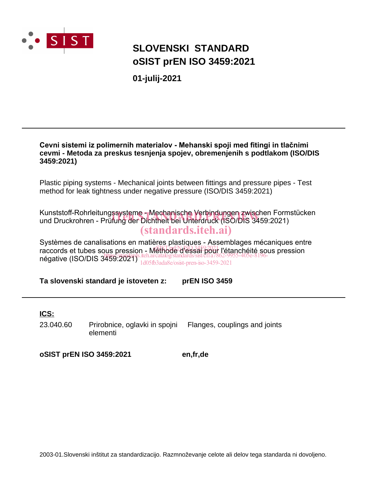

## **SLOVENSKI STANDARD oSIST prEN ISO 3459:2021**

**01-julij-2021**

### **Cevni sistemi iz polimernih materialov - Mehanski spoji med fitingi in tlačnimi cevmi - Metoda za preskus tesnjenja spojev, obremenjenih s podtlakom (ISO/DIS 3459:2021)**

Plastic piping systems - Mechanical joints between fittings and pressure pipes - Test method for leak tightness under negative pressure (ISO/DIS 3459:2021)

Kunststoff-Rohrleitungssysteme - Mechanische Verbindungen zwischen Formstücken Kunststoff-Rohrleitungssysteme - Mechanische Verbindungen zwischen Form<br>und Druckrohren - Prüfung der Dichtheit bei Unterdruck (ISO/DIS 3459:2021) (standards.iteh.ai)

Systèmes de canalisations en matières plastiques - Assemblages mécaniques entre raccords et tubes sous pression - Mêthode d'essai pour l'étanchéité sous pression négative (ISO/DIS 3459:2021) oSIST prEN ISO 3459:2021 https://standards.iteh.ai/catalog/standards/sist/cf1a7862-9955-405e-8196-1d05fb3ada8e/osist-pren-iso-3459-2021

**Ta slovenski standard je istoveten z: prEN ISO 3459**

### **ICS:**

23.040.60 Prirobnice, oglavki in spojni elementi Flanges, couplings and joints

**oSIST prEN ISO 3459:2021 en,fr,de**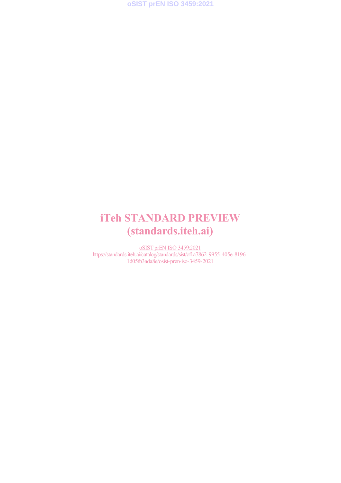**oSIST prEN ISO 3459:2021**

## iTeh STANDARD PREVIEW (standards.iteh.ai)

oSIST prEN ISO 3459:2021 https://standards.iteh.ai/catalog/standards/sist/cf1a7862-9955-405e-8196- 1d05fb3ada8e/osist-pren-iso-3459-2021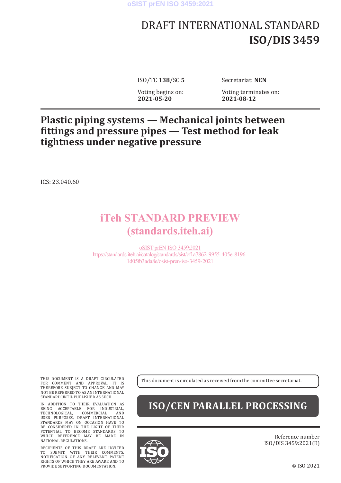# DRAFT INTERNATIONAL STANDARD **ISO/DIS 3459**

ISO/TC **138**/SC **5** Secretariat: **NEN**

**2021-05-20 2021-08-12**

Voting begins on: Voting terminates on:<br>2021-05-20<br>2021-08-12

### **Plastic piping systems — Mechanical joints between fittings and pressure pipes — Test method for leak tightness under negative pressure**

ICS: 23.040.60

## iTeh STANDARD PREVIEW (standards.iteh.ai)

oSIST prEN ISO 3459:2021 https://standards.iteh.ai/catalog/standards/sist/cf1a7862-9955-405e-8196- 1d05fb3ada8e/osist-pren-iso-3459-2021

THIS DOCUMENT IS A DRAFT CIRCULATED FOR COMMENT AND APPROVAL. IT IS THEREFORE SUBJECT TO CHANGE AND MAY NOT BE REFERRED TO AS AN INTERNATIONAL STANDARD UNTIL PUBLISHED AS SUCH.

IN ADDITION TO THEIR EVALUATION AS BEING ACCEPTABLE FOR INDUSTRIAL, TECHNOLOGICAL, COMMERCIAL AND USER PURPOSES, DRAFT INTERNATIONAL STANDARDS MAY ON OCCASION HAVE TO BE CONSIDERED IN THE LIGHT OF THEIR POTENTIAL TO BECOME STANDARDS TO WHICH REFERENCE MAY BE MADE IN NATIONAL REGULATIONS.

RECIPIENTS OF THIS DRAFT ARE INVITED TO SUBMIT, WITH THEIR COMMENTS, NOTIFICATION OF ANY RELEVANT PATENT RIGHTS OF WHICH THEY ARE AWARE AND TO PROVIDE SUPPORTING DOCUMENTATION.

This document is circulated as received from the committee secretariat.

### **ISO/CEN PARALLEL PROCESSING**



Reference number ISO/DIS 3459:2021(E)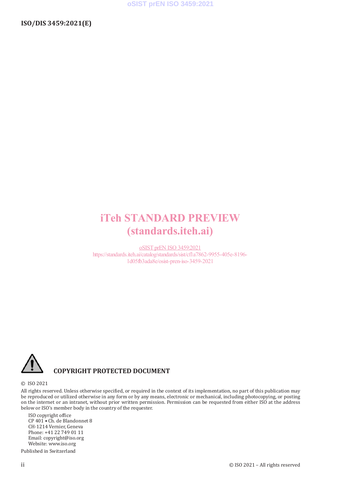## iTeh STANDARD PREVIEW (standards.iteh.ai)

oSIST prEN ISO 3459:2021 https://standards.iteh.ai/catalog/standards/sist/cf1a7862-9955-405e-8196- 1d05fb3ada8e/osist-pren-iso-3459-2021



### **COPYRIGHT PROTECTED DOCUMENT**

#### © ISO 2021

All rights reserved. Unless otherwise specified, or required in the context of its implementation, no part of this publication may be reproduced or utilized otherwise in any form or by any means, electronic or mechanical, including photocopying, or posting on the internet or an intranet, without prior written permission. Permission can be requested from either ISO at the address below or ISO's member body in the country of the requester.

ISO copyright office CP 401 • Ch. de Blandonnet 8 CH-1214 Vernier, Geneva Phone: +41 22 749 01 11 Email: copyright@iso.org Website: www.iso.org Published in Switzerland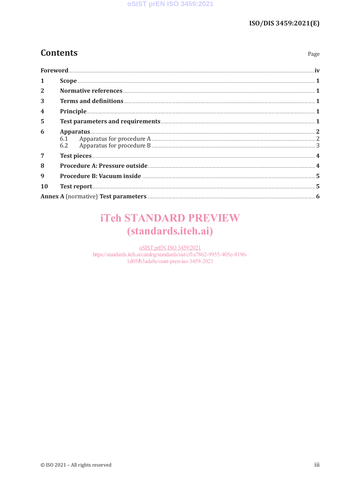### **Contents**

Page

|                                                                                                                                                                                            | $\textbf{Scope} \texttt{} \texttt{} \texttt{} \texttt{} \texttt{} \texttt{} \texttt{} \texttt{} \texttt{} \texttt{} \texttt{} \texttt{} \texttt{} \texttt{} \texttt{} \texttt{} \texttt{} \texttt{} \texttt{} \texttt{} \texttt{} \texttt{} \texttt{} \texttt{} \texttt{} \texttt{} \texttt{} \texttt{} \texttt{} \texttt{} \texttt{} \texttt{} \texttt{} \texttt{} \texttt{} \texttt{$ |  |
|--------------------------------------------------------------------------------------------------------------------------------------------------------------------------------------------|-----------------------------------------------------------------------------------------------------------------------------------------------------------------------------------------------------------------------------------------------------------------------------------------------------------------------------------------------------------------------------------------|--|
|                                                                                                                                                                                            |                                                                                                                                                                                                                                                                                                                                                                                         |  |
| 3                                                                                                                                                                                          |                                                                                                                                                                                                                                                                                                                                                                                         |  |
|                                                                                                                                                                                            |                                                                                                                                                                                                                                                                                                                                                                                         |  |
| 5                                                                                                                                                                                          | Test parameters and requirements <b>and the contract of the contract of the contract of the contract of the contract of the contract of the contract of the contract of the contract of the contract of the contract of the cont</b>                                                                                                                                                    |  |
| 6                                                                                                                                                                                          |                                                                                                                                                                                                                                                                                                                                                                                         |  |
|                                                                                                                                                                                            |                                                                                                                                                                                                                                                                                                                                                                                         |  |
| 8                                                                                                                                                                                          |                                                                                                                                                                                                                                                                                                                                                                                         |  |
| 9                                                                                                                                                                                          |                                                                                                                                                                                                                                                                                                                                                                                         |  |
| 10                                                                                                                                                                                         |                                                                                                                                                                                                                                                                                                                                                                                         |  |
| Annex A (normative) Test parameters <b>Election Contract A</b> (normative) Test parameters <b>Election Contract A</b> (normative) Test parameters <b>Election Contract A</b> (normative) 6 |                                                                                                                                                                                                                                                                                                                                                                                         |  |

## **iTeh STANDARD PREVIEW** (standards.iteh.ai)

oSIST prEN ISO 3459:2021 https://standards.iteh.ai/catalog/standards/sist/cf1a7862-9955-405e-8196-1d05fb3ada8e/osist-pren-iso-3459-2021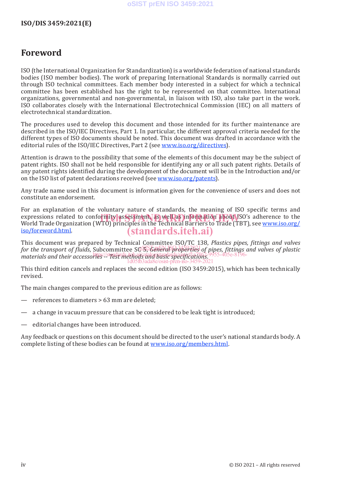### **Foreword**

ISO (the International Organization for Standardization) is a worldwide federation of national standards bodies (ISO member bodies). The work of preparing International Standards is normally carried out through ISO technical committees. Each member body interested in a subject for which a technical committee has been established has the right to be represented on that committee. International organizations, governmental and non-governmental, in liaison with ISO, also take part in the work. ISO collaborates closely with the International Electrotechnical Commission (IEC) on all matters of electrotechnical standardization.

The procedures used to develop this document and those intended for its further maintenance are described in the ISO/IEC Directives, Part 1. In particular, the different approval criteria needed for the different types of ISO documents should be noted. This document was drafted in accordance with the editorial rules of the ISO/IEC Directives, Part 2 (see www.iso.org/directives).

Attention is drawn to the possibility that some of the elements of this document may be the subject of patent rights. ISO shall not be held responsible for identifying any or all such patent rights. Details of any patent rights identified during the development of the document will be in the Introduction and/or on the ISO list of patent declarations received (see www.iso.org/patents).

Any trade name used in this document is information given for the convenience of users and does not constitute an endorsement.

For an explanation of the voluntary nature of standards, the meaning of ISO specific terms and expressions related to conformity assessment, as well as information about ISO's adherence to the<br>World Trade Organization (WTO) principles in the Technical Barriers to Trade (TBT), see www.iso.org/ World Trade Organization (WTO) principles in the Technical Barriers to Trade (TBT), see www.iso.org/ iso/foreword.html. (standards.iteh.ai)

This document was prepared by Technical Committee ISO/TC 138, *Plastics pipes, fittings and valves for the transport of fluids*, Subcommittee SC 5, *General properties of pipes, fittings and valves of plastic for the transport of fluids*, Subcommittee SC 5, *General properties of pipes, fittings and valves of plastic* of the transport by fame, these specifications and basic specifications. 9955-405e-8196-<br>materials and their accessories <sup>15</sup> Test methods and basic specifications. 1d05fb3ada8e/osist-pren-iso-3459-2021

This third edition cancels and replaces the second edition (ISO 3459:2015), which has been technically revised.

The main changes compared to the previous edition are as follows:

- references to diameters > 63 mm are deleted;
- a change in vacuum pressure that can be considered to be leak tight is introduced;
- editorial changes have been introduced.

Any feedback or questions on this document should be directed to the user's national standards body. A complete listing of these bodies can be found at www.iso.org/members.html.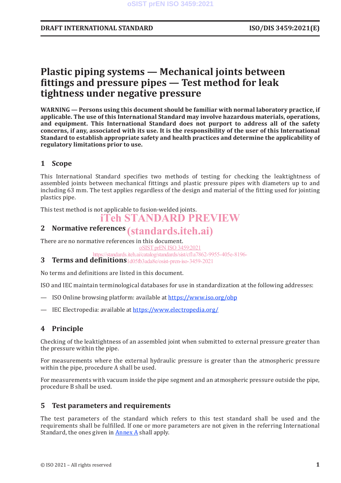### **DRAFT INTERNATIONAL STANDARD ISO/DIS 3459:2021(E)**

### **Plastic piping systems — Mechanical joints between fittings and pressure pipes — Test method for leak tightness under negative pressure**

**WARNING — Persons using this document should be familiar with normal laboratory practice, if applicable. The use of this International Standard may involve hazardous materials, operations, and equipment. This International Standard does not purport to address all of the safety concerns, if any, associated with its use. It is the responsibility of the user of this International Standard to establish appropriate safety and health practices and determine the applicability of regulatory limitations prior to use.**

### **1 Scope**

This International Standard specifies two methods of testing for checking the leaktightness of assembled joints between mechanical fittings and plastic pressure pipes with diameters up to and including 63 mm. The test applies regardless of the design and material of the fitting used for jointing plastics pipe.

This test method is not applicable to fusion-welded joints.

### iTeh STANDARD PREVIEW

## **2 Normative references** (standards.iteh.ai)

There are no normative references in this document.

**3 Terms and definitions** 1d05fb3ada8e/osist-pren-iso-3459-2021oSIST prEN ISO 3459:2021 https://standards.iteh.ai/catalog/standards/sist/cf1a7862-9955-405e-8196-

No terms and definitions are listed in this document.

ISO and IEC maintain terminological databases for use in standardization at the following addresses:

- ISO Online browsing platform: available at https://www.iso.org/obp
- IEC Electropedia: available at https://www.electropedia.org/

### **4 Principle**

Checking of the leaktightness of an assembled joint when submitted to external pressure greater than the pressure within the pipe.

For measurements where the external hydraulic pressure is greater than the atmospheric pressure within the pipe, procedure A shall be used.

For measurements with vacuum inside the pipe segment and an atmospheric pressure outside the pipe, procedure B shall be used.

### **5 Test parameters and requirements**

The test parameters of the standard which refers to this test standard shall be used and the requirements shall be fulfilled. If one or more parameters are not given in the referring International Standard, the ones given in Annex A shall apply.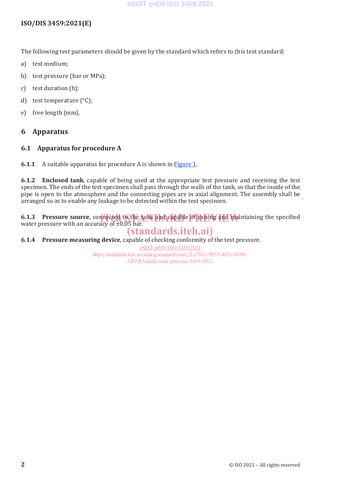The following test parameters should be given by the standard which refers to this test standard:

- a) test medium;
- b) test pressure (bar or MPa);
- c) test duration (h);
- d) test temperature (°C);
- e) free length (mm).

### **6 Apparatus**

#### **6.1 Apparatus for procedure A**

**6.1.1** A suitable apparatus for procedure A is shown in Figure 1.

**6.1.2 Enclosed tank**, capable of being used at the appropriate test pressure and receiving the test specimen. The ends of the test specimen shall pass through the walls of the tank, so that the inside of the pipe is open to the atmosphere and the connecting pipes are in axial alignment. The assembly shall be arranged so as to enable any leakage to be detected within the test specimen.

**6.1.3** Pressure source, connected to the tank and capable of raising and maintaining the specified water pressure with an accuracy of +0.05 bar water pressure with an accuracy of  $\pm 0.05$  bar.

### (standards.iteh.ai)

**6.1.4 Pressure measuring device**, capable of checking conformity of the test pressure. oSIST prEN ISO 3459:2021 https://standards.iteh.ai/catalog/standards/sist/cf1a7862-9955-405e-8196- 1d05fb3ada8e/osist-pren-iso-3459-2021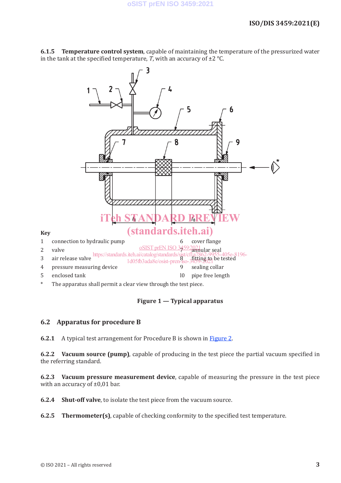



### **Figure 1 — Typical apparatus**

### **6.2 Apparatus for procedure B**

**6.2.1** A typical test arrangement for Procedure B is shown in Figure 2.

**6.2.2 Vacuum source (pump)**, capable of producing in the test piece the partial vacuum specified in the referring standard.

**6.2.3 Vacuum pressure measurement device**, capable of measuring the pressure in the test piece with an accuracy of  $\pm 0.01$  bar.

**6.2.4 Shut-off valve**, to isolate the test piece from the vacuum source.

**6.2.5 Thermometer(s)**, capable of checking conformity to the specified test temperature.